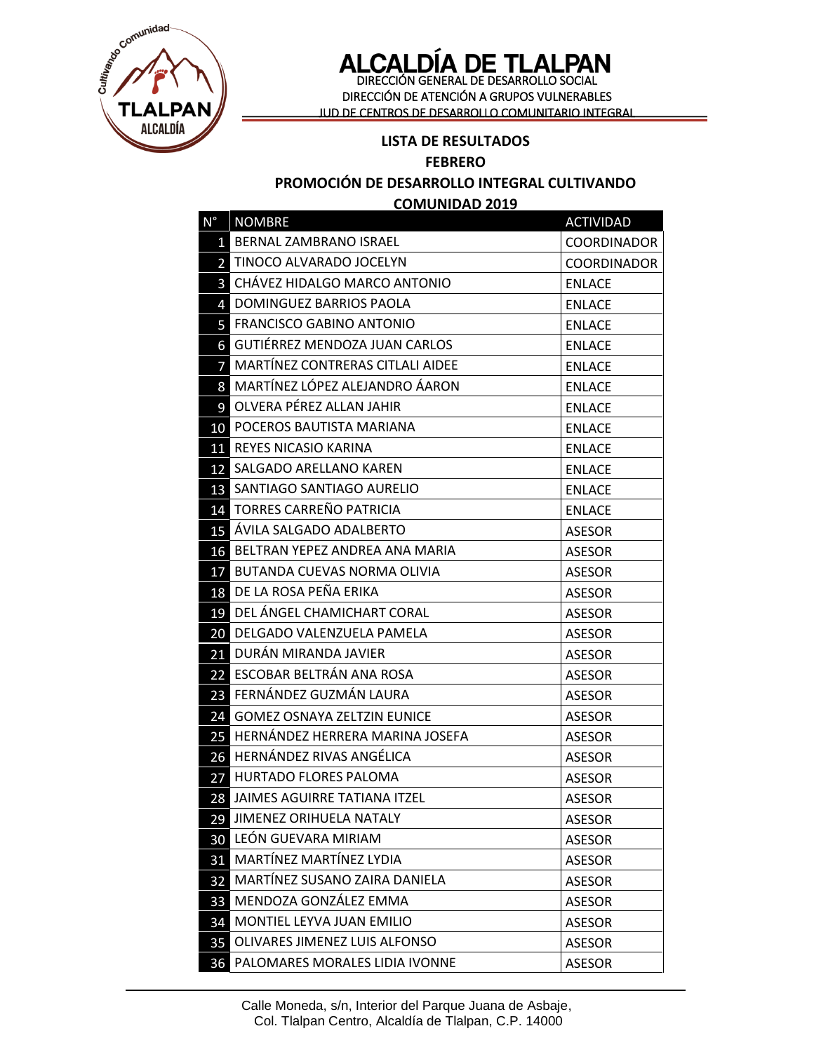

# **ALCALDÍA DE TLALPAN**<br>DIRECCIÓN GENERAL DE DESARROLLO SOCIAL

DIRECCIÓN DE ATENCIÓN A GRUPOS VULNERABLES JUD DE CENTROS DE DESARROLLO COMUNITARIO INTEGRAL

#### **LISTA DE RESULTADOS**

#### **FEBRERO**

#### **PROMOCIÓN DE DESARROLLO INTEGRAL CULTIVANDO**

**COMUNIDAD 2019**

| N°              | <b>NOMBRE</b>                         | <b>ACTIVIDAD</b>   |
|-----------------|---------------------------------------|--------------------|
| $\mathbf{1}$    | BERNAL ZAMBRANO ISRAEL                | COORDINADOR        |
|                 | <b>2</b> TINOCO ALVARADO JOCELYN      | <b>COORDINADOR</b> |
|                 | <b>3</b> CHÁVEZ HIDALGO MARCO ANTONIO | <b>ENLACE</b>      |
| $\overline{4}$  | DOMINGUEZ BARRIOS PAOLA               | <b>ENLACE</b>      |
|                 | <b>5 FRANCISCO GABINO ANTONIO</b>     | <b>ENLACE</b>      |
|                 | 6 GUTIÉRREZ MENDOZA JUAN CARLOS       | <b>ENLACE</b>      |
| 7               | MARTÍNEZ CONTRERAS CITLALI AIDEE      | <b>ENLACE</b>      |
| 8 <sup>1</sup>  | MARTÍNEZ LÓPEZ ALEJANDRO ÁARON        | <b>ENLACE</b>      |
|                 | 9 OLVERA PÉREZ ALLAN JAHIR            | <b>ENLACE</b>      |
|                 | 10 POCEROS BAUTISTA MARIANA           | <b>ENLACE</b>      |
|                 | 11 REYES NICASIO KARINA               | <b>ENLACE</b>      |
|                 | 12 SALGADO ARELLANO KAREN             | <b>ENLACE</b>      |
| 13              | SANTIAGO SANTIAGO AURELIO             | <b>ENLACE</b>      |
|                 | 14 TORRES CARREÑO PATRICIA            | <b>ENLACE</b>      |
|                 | <b>15</b> ÁVILA SALGADO ADALBERTO     | <b>ASESOR</b>      |
|                 | 16 BELTRAN YEPEZ ANDREA ANA MARIA     | <b>ASESOR</b>      |
|                 | 17 BUTANDA CUEVAS NORMA OLIVIA        | <b>ASESOR</b>      |
|                 | 18 DE LA ROSA PEÑA ERIKA              | <b>ASESOR</b>      |
|                 | 19 DEL ÁNGEL CHAMICHART CORAL         | <b>ASESOR</b>      |
|                 | 20 DELGADO VALENZUELA PAMELA          | <b>ASESOR</b>      |
|                 | 21 DURÁN MIRANDA JAVIER               | <b>ASESOR</b>      |
|                 | 22 ESCOBAR BELTRÁN ANA ROSA           | <b>ASESOR</b>      |
| 23 <sub>1</sub> | FERNÁNDEZ GUZMÁN LAURA                | <b>ASESOR</b>      |
| 24              | <b>GOMEZ OSNAYA ZELTZIN EUNICE</b>    | <b>ASESOR</b>      |
|                 | 25 HERNÁNDEZ HERRERA MARINA JOSEFA    | <b>ASESOR</b>      |
|                 | 26 HERNÁNDEZ RIVAS ANGÉLICA           | <b>ASESOR</b>      |
|                 | 27 HURTADO FLORES PALOMA              | <b>ASESOR</b>      |
|                 | 28 JAIMES AGUIRRE TATIANA ITZEL       | <b>ASESOR</b>      |
| 29              | JIMENEZ ORIHUELA NATALY               | <b>ASESOR</b>      |
| 30              | LEÓN GUEVARA MIRIAM                   | <b>ASESOR</b>      |
| 31              | MARTÍNEZ MARTÍNEZ LYDIA               | <b>ASESOR</b>      |
| 32              | MARTÍNEZ SUSANO ZAIRA DANIELA         | <b>ASESOR</b>      |
| 33              | MENDOZA GONZÁLEZ EMMA                 | <b>ASESOR</b>      |
| 34              | MONTIEL LEYVA JUAN EMILIO             | <b>ASESOR</b>      |
| 35              | OLIVARES JIMENEZ LUIS ALFONSO         | <b>ASESOR</b>      |
| 36              | PALOMARES MORALES LIDIA IVONNE        | <b>ASESOR</b>      |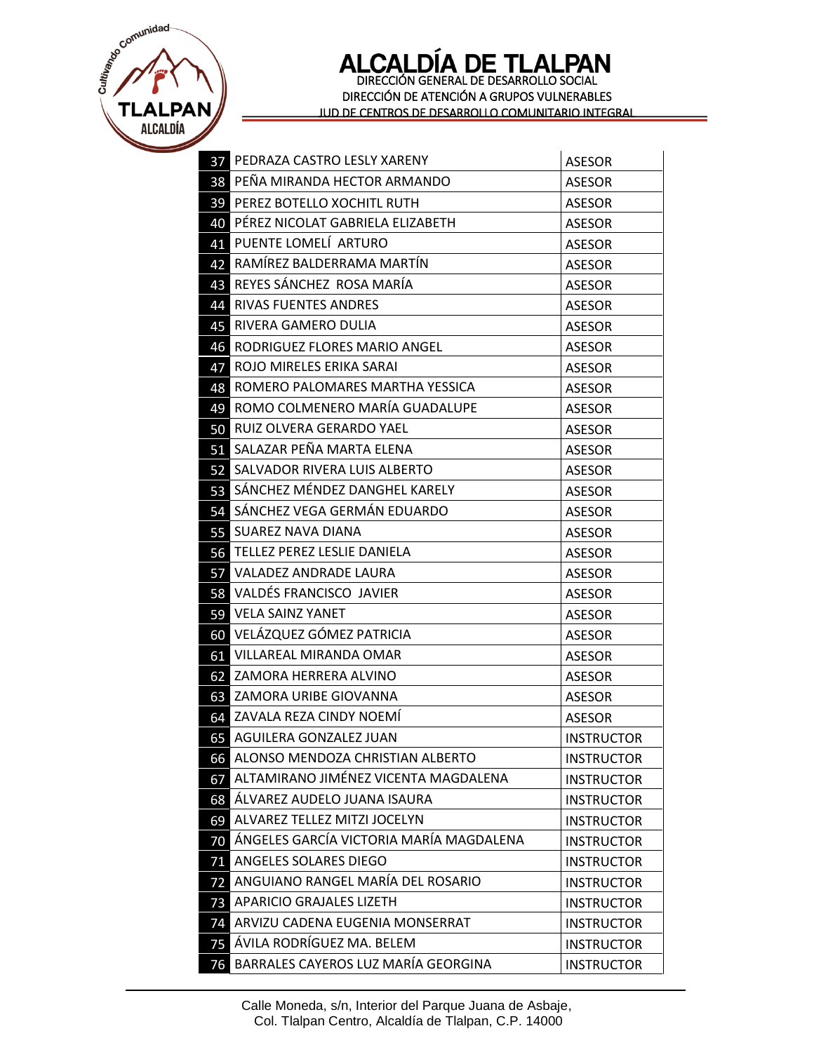E MALE TLALPAN<br>
ALCALDÍA

### **ALCALDÍA DE TLALPAN**<br>DIRECCIÓN GENERAL DE DESARROLLO SOCIAL DIRECCIÓN DE ATENCIÓN A GRUPOS VULNERABLES JUD DE CENTROS DE DESARROLLO COMUNITARIO INTEGRAL

|                 | <b>37 PEDRAZA CASTRO LESLY XARENY</b>   | <b>ASESOR</b>     |
|-----------------|-----------------------------------------|-------------------|
|                 | 38 PEÑA MIRANDA HECTOR ARMANDO          | <b>ASESOR</b>     |
|                 | <b>39 PEREZ BOTELLO XOCHITL RUTH</b>    | <b>ASESOR</b>     |
|                 | 40 PÉREZ NICOLAT GABRIELA ELIZABETH     | <b>ASESOR</b>     |
| 41              | PUENTE LOMELÍ ARTURO                    | <b>ASESOR</b>     |
| 42              | RAMÍREZ BALDERRAMA MARTÍN               | <b>ASESOR</b>     |
| 43              | REYES SÁNCHEZ ROSA MARÍA                | <b>ASESOR</b>     |
| 44              | <b>RIVAS FUENTES ANDRES</b>             | <b>ASESOR</b>     |
|                 | 45 RIVERA GAMERO DULIA                  | <b>ASESOR</b>     |
| 46              | RODRIGUEZ FLORES MARIO ANGEL            | <b>ASESOR</b>     |
| 47              | ROJO MIRELES ERIKA SARAI                | <b>ASESOR</b>     |
| 48              | ROMERO PALOMARES MARTHA YESSICA         | <b>ASESOR</b>     |
| 49              | ROMO COLMENERO MARÍA GUADALUPE          | <b>ASESOR</b>     |
|                 | 50 RUIZ OLVERA GERARDO YAEL             | <b>ASESOR</b>     |
|                 | 51 SALAZAR PEÑA MARTA ELENA             | <b>ASESOR</b>     |
|                 | 52 SALVADOR RIVERA LUIS ALBERTO         | <b>ASESOR</b>     |
| 53              | SÁNCHEZ MÉNDEZ DANGHEL KARELY           | <b>ASESOR</b>     |
|                 | 54 SÁNCHEZ VEGA GERMÁN EDUARDO          | <b>ASESOR</b>     |
| 55              | <b>SUAREZ NAVA DIANA</b>                | <b>ASESOR</b>     |
|                 | 56 TELLEZ PEREZ LESLIE DANIELA          | <b>ASESOR</b>     |
|                 | <b>57 VALADEZ ANDRADE LAURA</b>         | <b>ASESOR</b>     |
|                 | 58 VALDÉS FRANCISCO JAVIER              | <b>ASESOR</b>     |
| 59              | <b>VELA SAINZ YANET</b>                 | <b>ASESOR</b>     |
| 60              | VELÁZQUEZ GÓMEZ PATRICIA                | <b>ASESOR</b>     |
|                 | 61 VILLAREAL MIRANDA OMAR               | <b>ASESOR</b>     |
|                 | 62 ZAMORA HERRERA ALVINO                | <b>ASESOR</b>     |
|                 | 63 ZAMORA URIBE GIOVANNA                | <b>ASESOR</b>     |
|                 | 64 ZAVALA REZA CINDY NOEMÍ              | <b>ASESOR</b>     |
|                 | 65 AGUILERA GONZALEZ JUAN               | <b>INSTRUCTOR</b> |
| 66              | ALONSO MENDOZA CHRISTIAN ALBERTO        | <b>INSTRUCTOR</b> |
| 67              | ALTAMIRANO JIMÉNEZ VICENTA MAGDALENA    | <b>INSTRUCTOR</b> |
| 68              | ÁLVAREZ AUDELO JUANA ISAURA             | <b>INSTRUCTOR</b> |
| 69              | ALVAREZ TELLEZ MITZI JOCELYN            | <b>INSTRUCTOR</b> |
| 70              | ÁNGELES GARCÍA VICTORIA MARÍA MAGDALENA | <b>INSTRUCTOR</b> |
| 71              | ANGELES SOLARES DIEGO                   | <b>INSTRUCTOR</b> |
| 72              | ANGUIANO RANGEL MARÍA DEL ROSARIO       | <b>INSTRUCTOR</b> |
| 73              | <b>APARICIO GRAJALES LIZETH</b>         | <b>INSTRUCTOR</b> |
| 74              | ARVIZU CADENA EUGENIA MONSERRAT         | <b>INSTRUCTOR</b> |
| 75              | ÁVILA RODRÍGUEZ MA. BELEM               | <b>INSTRUCTOR</b> |
| $\overline{76}$ | BARRALES CAYEROS LUZ MARÍA GEORGINA     | <b>INSTRUCTOR</b> |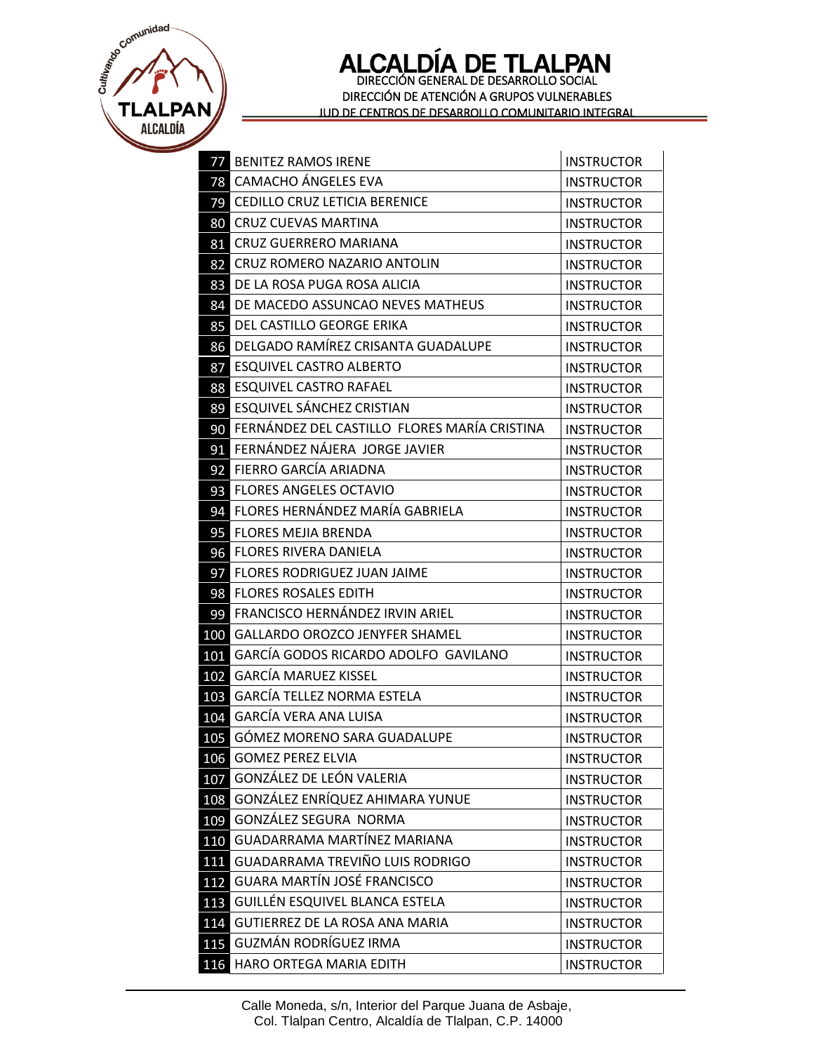E MALE TLALPAN

## ALCALDÍA DE TLALPAN DIRECCIÓN DE ATENCIÓN A GRUPOS VULNERABLES JUD DE CENTROS DE DESARROLLO COMUNITARIO INTEGRAL

| 77  | <b>BENITEZ RAMOS IRENE</b>                   | <b>INSTRUCTOR</b> |
|-----|----------------------------------------------|-------------------|
| 78  | <b>CAMACHO ÁNGELES EVA</b>                   | <b>INSTRUCTOR</b> |
| 79  | CEDILLO CRUZ LETICIA BERENICE                | <b>INSTRUCTOR</b> |
| 80  | <b>CRUZ CUEVAS MARTINA</b>                   | <b>INSTRUCTOR</b> |
| 81  | CRUZ GUERRERO MARIANA                        | <b>INSTRUCTOR</b> |
| 82  | CRUZ ROMERO NAZARIO ANTOLIN                  | <b>INSTRUCTOR</b> |
| 83  | DE LA ROSA PUGA ROSA ALICIA                  | <b>INSTRUCTOR</b> |
| 84  | DE MACEDO ASSUNCAO NEVES MATHEUS             | <b>INSTRUCTOR</b> |
| 85  | DEL CASTILLO GEORGE ERIKA                    | <b>INSTRUCTOR</b> |
| 86  | DELGADO RAMÍREZ CRISANTA GUADALUPE           | <b>INSTRUCTOR</b> |
| 87  | <b>ESQUIVEL CASTRO ALBERTO</b>               | <b>INSTRUCTOR</b> |
| 88  | <b>ESQUIVEL CASTRO RAFAEL</b>                | <b>INSTRUCTOR</b> |
| 89  | ESQUIVEL SÁNCHEZ CRISTIAN                    | <b>INSTRUCTOR</b> |
| 90  | FERNÁNDEZ DEL CASTILLO FLORES MARÍA CRISTINA | <b>INSTRUCTOR</b> |
| 91  | FERNÁNDEZ NÁJERA JORGE JAVIER                | <b>INSTRUCTOR</b> |
| 92  | FIERRO GARCÍA ARIADNA                        | <b>INSTRUCTOR</b> |
| 93  | <b>FLORES ANGELES OCTAVIO</b>                | <b>INSTRUCTOR</b> |
| 94  | FLORES HERNÁNDEZ MARÍA GABRIELA              | <b>INSTRUCTOR</b> |
| 95  | <b>FLORES MEJIA BRENDA</b>                   | <b>INSTRUCTOR</b> |
| 96  | <b>FLORES RIVERA DANIELA</b>                 | <b>INSTRUCTOR</b> |
| 97  | <b>FLORES RODRIGUEZ JUAN JAIME</b>           | <b>INSTRUCTOR</b> |
| 98  | <b>FLORES ROSALES EDITH</b>                  | <b>INSTRUCTOR</b> |
| 99  | FRANCISCO HERNÁNDEZ IRVIN ARIEL              | <b>INSTRUCTOR</b> |
| 100 | <b>GALLARDO OROZCO JENYFER SHAMEL</b>        | <b>INSTRUCTOR</b> |
| 101 | GARCÍA GODOS RICARDO ADOLFO GAVILANO         | <b>INSTRUCTOR</b> |
| 102 | <b>GARCÍA MARUEZ KISSEL</b>                  | <b>INSTRUCTOR</b> |
| 103 | <b>GARCÍA TELLEZ NORMA ESTELA</b>            | <b>INSTRUCTOR</b> |
| 104 | <b>GARCÍA VERA ANA LUISA</b>                 | <b>INSTRUCTOR</b> |
| 105 | GÓMEZ MORENO SARA GUADALUPE                  | <b>INSTRUCTOR</b> |
| 106 | <b>GOMEZ PEREZ ELVIA</b>                     | <b>INSTRUCTOR</b> |
| 107 | GONZÁLEZ DE LEÓN VALERIA                     | <b>INSTRUCTOR</b> |
| 108 | GONZÁLEZ ENRÍQUEZ AHIMARA YUNUE              | <b>INSTRUCTOR</b> |
| 109 | GONZÁLEZ SEGURA NORMA                        | <b>INSTRUCTOR</b> |
| 110 | GUADARRAMA MARTÍNEZ MARIANA                  | <b>INSTRUCTOR</b> |
| 111 | <b>GUADARRAMA TREVIÑO LUIS RODRIGO</b>       | <b>INSTRUCTOR</b> |
| 112 | <b>GUARA MARTÍN JOSÉ FRANCISCO</b>           | <b>INSTRUCTOR</b> |
| 113 | GUILLÉN ESQUIVEL BLANCA ESTELA               | <b>INSTRUCTOR</b> |
| 114 | GUTIERREZ DE LA ROSA ANA MARIA               | <b>INSTRUCTOR</b> |
| 115 | GUZMÁN RODRÍGUEZ IRMA                        | <b>INSTRUCTOR</b> |
| 116 | HARO ORTEGA MARIA EDITH                      | <b>INSTRUCTOR</b> |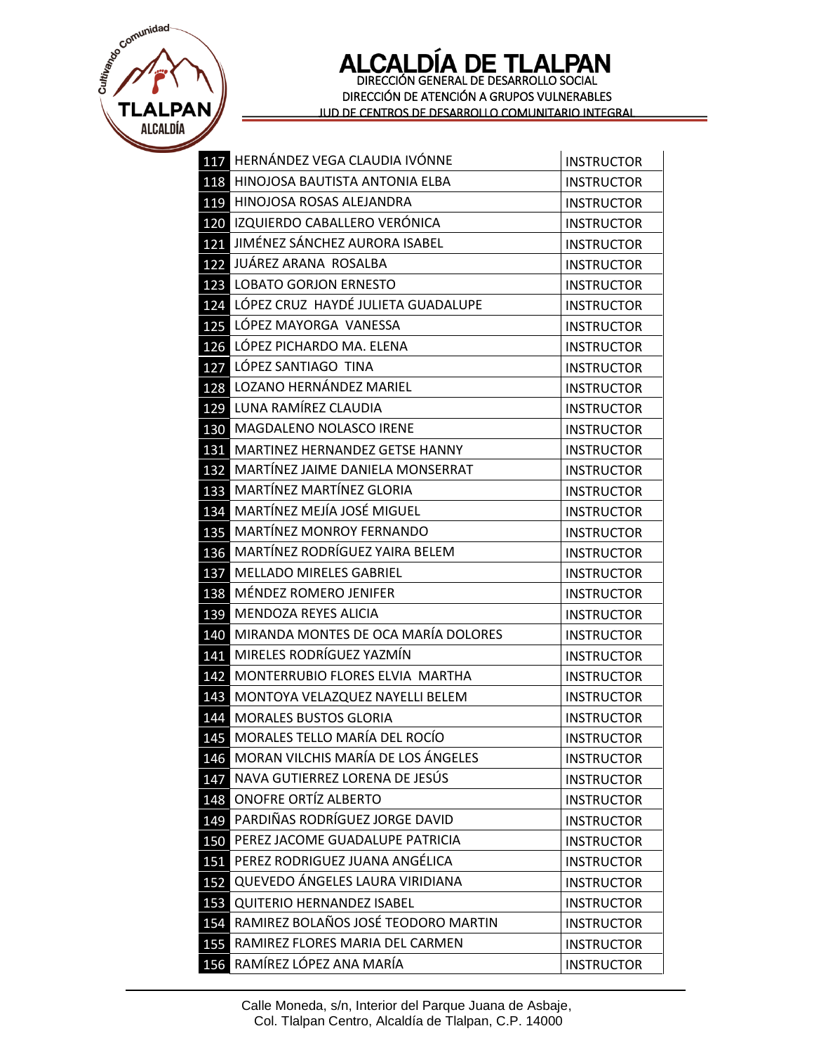E MALE **TLALPAN** ALCALDÍA

## ALCALDÍA DE TLALPAN DIRECCIÓN DE ATENCIÓN A GRUPOS VULNERABLES JUD DE CENTROS DE DESARROLLO COMUNITARIO INTEGRAL

|     | 117 HERNÁNDEZ VEGA CLAUDIA IVÓNNE   | <b>INSTRUCTOR</b> |
|-----|-------------------------------------|-------------------|
| 118 | HINOJOSA BAUTISTA ANTONIA ELBA      | <b>INSTRUCTOR</b> |
| 119 | HINOJOSA ROSAS ALEJANDRA            | <b>INSTRUCTOR</b> |
| 120 | IZQUIERDO CABALLERO VERÓNICA        | <b>INSTRUCTOR</b> |
| 121 | JIMÉNEZ SÁNCHEZ AURORA ISABEL       | <b>INSTRUCTOR</b> |
| 122 | JUÁREZ ARANA ROSALBA                | <b>INSTRUCTOR</b> |
| 123 | <b>LOBATO GORJON ERNESTO</b>        | <b>INSTRUCTOR</b> |
| 124 | LÓPEZ CRUZ HAYDÉ JULIETA GUADALUPE  | <b>INSTRUCTOR</b> |
| 125 | LÓPEZ MAYORGA VANESSA               | <b>INSTRUCTOR</b> |
| 126 | LÓPEZ PICHARDO MA. ELENA            | <b>INSTRUCTOR</b> |
| 127 | LÓPEZ SANTIAGO TINA                 | <b>INSTRUCTOR</b> |
|     | 128 LOZANO HERNÁNDEZ MARIEL         | <b>INSTRUCTOR</b> |
| 129 | LUNA RAMÍREZ CLAUDIA                | <b>INSTRUCTOR</b> |
| 130 | MAGDALENO NOLASCO IRENE             | <b>INSTRUCTOR</b> |
| 131 | MARTINEZ HERNANDEZ GETSE HANNY      | <b>INSTRUCTOR</b> |
| 132 | MARTÍNEZ JAIME DANIELA MONSERRAT    | <b>INSTRUCTOR</b> |
| 133 | MARTÍNEZ MARTÍNEZ GLORIA            | <b>INSTRUCTOR</b> |
| 134 | MARTÍNEZ MEJÍA JOSÉ MIGUEL          | <b>INSTRUCTOR</b> |
| 135 | MARTÍNEZ MONROY FERNANDO            | <b>INSTRUCTOR</b> |
| 136 | MARTÍNEZ RODRÍGUEZ YAIRA BELEM      | <b>INSTRUCTOR</b> |
| 137 | <b>MELLADO MIRELES GABRIEL</b>      | <b>INSTRUCTOR</b> |
| 138 | MÉNDEZ ROMERO JENIFER               | <b>INSTRUCTOR</b> |
| 139 | MENDOZA REYES ALICIA                | <b>INSTRUCTOR</b> |
| 140 | MIRANDA MONTES DE OCA MARÍA DOLORES | <b>INSTRUCTOR</b> |
| 141 | MIRELES RODRÍGUEZ YAZMÍN            | <b>INSTRUCTOR</b> |
| 142 | MONTERRUBIO FLORES ELVIA MARTHA     | <b>INSTRUCTOR</b> |
| 143 | MONTOYA VELAZQUEZ NAYELLI BELEM     | <b>INSTRUCTOR</b> |
| 144 | <b>MORALES BUSTOS GLORIA</b>        | <b>INSTRUCTOR</b> |
| 145 | MORALES TELLO MARÍA DEL ROCÍO       | <b>INSTRUCTOR</b> |
| 146 | MORAN VILCHIS MARÍA DE LOS ÁNGELES  | <b>INSTRUCTOR</b> |
| 147 | NAVA GUTIERREZ LORENA DE JESÚS      | <b>INSTRUCTOR</b> |
| 148 | ONOFRE ORTÍZ ALBERTO                | <b>INSTRUCTOR</b> |
| 149 | PARDIÑAS RODRÍGUEZ JORGE DAVID      | <b>INSTRUCTOR</b> |
| 150 | PEREZ JACOME GUADALUPE PATRICIA     | <b>INSTRUCTOR</b> |
| 151 | PEREZ RODRIGUEZ JUANA ANGÉLICA      | <b>INSTRUCTOR</b> |
| 152 | QUEVEDO ÁNGELES LAURA VIRIDIANA     | <b>INSTRUCTOR</b> |
| 153 | <b>QUITERIO HERNANDEZ ISABEL</b>    | <b>INSTRUCTOR</b> |
| 154 | RAMIREZ BOLAÑOS JOSÉ TEODORO MARTIN | <b>INSTRUCTOR</b> |
| 155 | RAMIREZ FLORES MARIA DEL CARMEN     | <b>INSTRUCTOR</b> |
| 156 | RAMÍREZ LÓPEZ ANA MARÍA             | <b>INSTRUCTOR</b> |